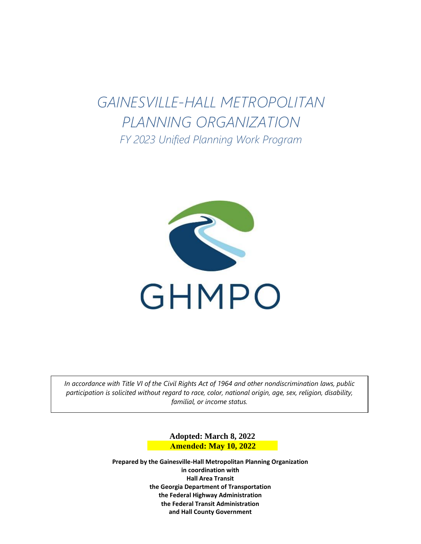# *PLANNING ORGANIZATION GAINESVILLE-HALL METROPOLITAN FY 2023 Unified Planning Work Program*



*In accordance with Title VI of the Civil Rights Act of 1964 and other nondiscrimination laws, public participation is solicited without regard to race, color, national origin, age, sex, religion, disability, familial, or income status.*

> **Adopted: March 8, 2022 Amended: May 10, 2022**

**Prepared by the Gainesville-Hall Metropolitan Planning Organization in coordination with Hall Area Transit the Georgia Department of Transportation the Federal Highway Administration the Federal Transit Administration and Hall County Government**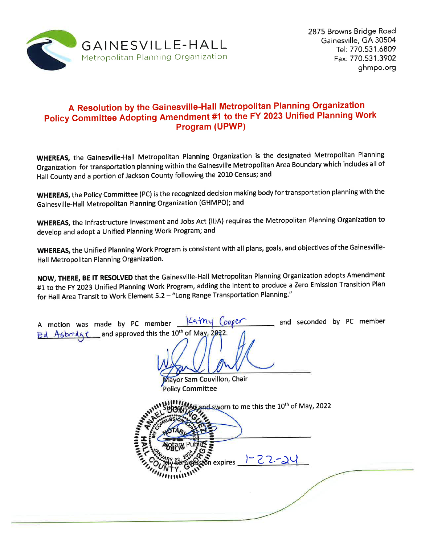

# A Resolution by the Gainesville-Hall Metropolitan Planning Organization Policy Committee Adopting Amendment #1 to the FY 2023 Unified Planning Work Program (UPWP)

WHEREAS, the Gainesville-Hall Metropolitan Planning Organization is the designated Metropolitan Planning Organization for transportation planning within the Gainesville Metropolitan Area Boundary which includes all of Hall County and a portion of Jackson County following the 2010 Census; and

WHEREAS, the Policy Committee (PC) is the recognized decision making body for transportation planning with the Gainesville-Hall Metropolitan Planning Organization (GHMPO); and

WHEREAS, the Infrastructure Investment and Jobs Act (IIJA) requires the Metropolitan Planning Organization to develop and adopt a Unified Planning Work Program; and

WHEREAS, the Unified Planning Work Program is consistent with all plans, goals, and objectives of the Gainesville-Hall Metropolitan Planning Organization.

NOW, THERE, BE IT RESOLVED that the Gainesville-Hall Metropolitan Planning Organization adopts Amendment #1 to the FY 2023 Unified Planning Work Program, adding the intent to produce a Zero Emission Transition Plan for Hall Area Transit to Work Element 5.2 - "Long Range Transportation Planning."

| Kathy Cooper<br>and seconded by PC member<br>A motion was made by PC member __<br>Ed Asbridge and approved this the 10th of May, 2022.<br>Mayor Sam Couvillon, Chair<br><b>Policy Committee</b> |  |
|-------------------------------------------------------------------------------------------------------------------------------------------------------------------------------------------------|--|
| of and sworn to me this the 10 <sup>th</sup> of May, 2022<br>sion expires 1-22-24                                                                                                               |  |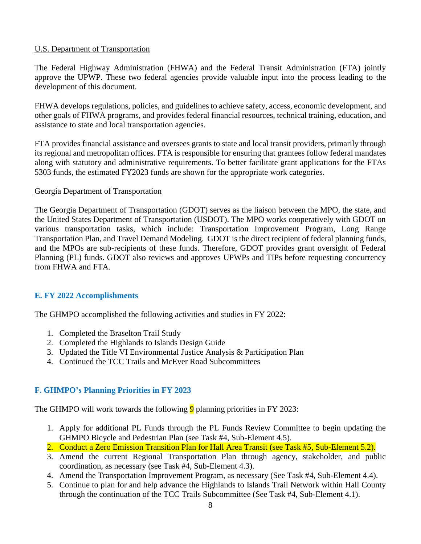# U.S. Department of Transportation

The Federal Highway Administration (FHWA) and the Federal Transit Administration (FTA) jointly approve the UPWP. These two federal agencies provide valuable input into the process leading to the development of this document.

FHWA develops regulations, policies, and guidelines to achieve safety, access, economic development, and other goals of FHWA programs, and provides federal financial resources, technical training, education, and assistance to state and local transportation agencies.

FTA provides financial assistance and oversees grants to state and local transit providers, primarily through its regional and metropolitan offices. FTA is responsible for ensuring that grantees follow federal mandates along with statutory and administrative requirements. To better facilitate grant applications for the FTAs 5303 funds, the estimated FY2023 funds are shown for the appropriate work categories.

### Georgia Department of Transportation

The Georgia Department of Transportation (GDOT) serves as the liaison between the MPO, the state, and the United States Department of Transportation (USDOT). The MPO works cooperatively with GDOT on various transportation tasks, which include: Transportation Improvement Program, Long Range Transportation Plan, and Travel Demand Modeling. GDOT is the direct recipient of federal planning funds, and the MPOs are sub-recipients of these funds. Therefore, GDOT provides grant oversight of Federal Planning (PL) funds. GDOT also reviews and approves UPWPs and TIPs before requesting concurrency from FHWA and FTA.

# **E. FY 2022 Accomplishments**

The GHMPO accomplished the following activities and studies in FY 2022:

- 1. Completed the Braselton Trail Study
- 2. Completed the Highlands to Islands Design Guide
- 3. Updated the Title VI Environmental Justice Analysis & Participation Plan
- 4. Continued the TCC Trails and McEver Road Subcommittees

# **F. GHMPO's Planning Priorities in FY 2023**

The GHMPO will work towards the following  $\overline{9}$  planning priorities in FY 2023:

- 1. Apply for additional PL Funds through the PL Funds Review Committee to begin updating the GHMPO Bicycle and Pedestrian Plan (see Task #4, Sub-Element 4.5).
- 2. Conduct a Zero Emission Transition Plan for Hall Area Transit (see Task #5, Sub-Element 5.2).
- 3. Amend the current Regional Transportation Plan through agency, stakeholder, and public coordination, as necessary (see Task #4, Sub-Element 4.3).
- 4. Amend the Transportation Improvement Program, as necessary (See Task #4, Sub-Element 4.4).
- 5. Continue to plan for and help advance the Highlands to Islands Trail Network within Hall County through the continuation of the TCC Trails Subcommittee (See Task #4, Sub-Element 4.1).